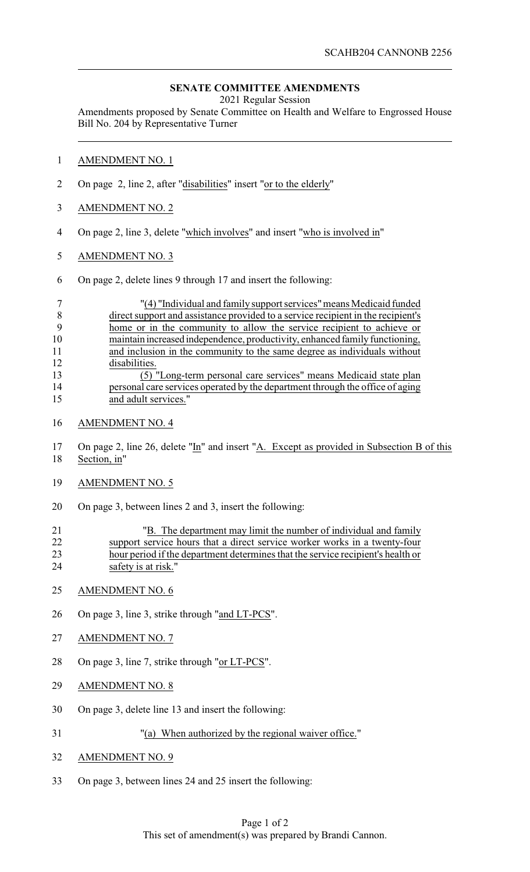## **SENATE COMMITTEE AMENDMENTS**

2021 Regular Session

Amendments proposed by Senate Committee on Health and Welfare to Engrossed House Bill No. 204 by Representative Turner

- AMENDMENT NO. 1
- 2 On page 2, line 2, after "disabilities" insert "or to the elderly"
- AMENDMENT NO. 2
- On page 2, line 3, delete "which involves" and insert "who is involved in"
- AMENDMENT NO. 3
- On page 2, delete lines 9 through 17 and insert the following:

|    | "(4) "Individual and family support services" means Medicaid funded              |
|----|----------------------------------------------------------------------------------|
|    | direct support and assistance provided to a service recipient in the recipient's |
|    | home or in the community to allow the service recipient to achieve or            |
| 10 | maintain increased independence, productivity, enhanced family functioning,      |
| 11 | and inclusion in the community to the same degree as individuals without         |
| 12 | disabilities.                                                                    |
| 13 | (5) "Long-term personal care services" means Medicaid state plan                 |
| 14 | personal care services operated by the department through the office of aging    |
| 15 | and adult services."                                                             |

- AMENDMENT NO. 4
- On page 2, line 26, delete "In" and insert "A. Except as provided in Subsection B of this Section, in"
- AMENDMENT NO. 5
- On page 3, between lines 2 and 3, insert the following:

| 21 | "B. The department may limit the number of individual and family                |
|----|---------------------------------------------------------------------------------|
| 22 | support service hours that a direct service worker works in a twenty-four       |
| 23 | hour period if the department determines that the service recipient's health or |
| 24 | safety is at risk."                                                             |

- AMENDMENT NO. 6
- 26 On page 3, line 3, strike through "and LT-PCS".
- AMENDMENT NO. 7
- On page 3, line 7, strike through "or LT-PCS".
- AMENDMENT NO. 8
- On page 3, delete line 13 and insert the following:
- "(a) When authorized by the regional waiver office."
- AMENDMENT NO. 9
- On page 3, between lines 24 and 25 insert the following: